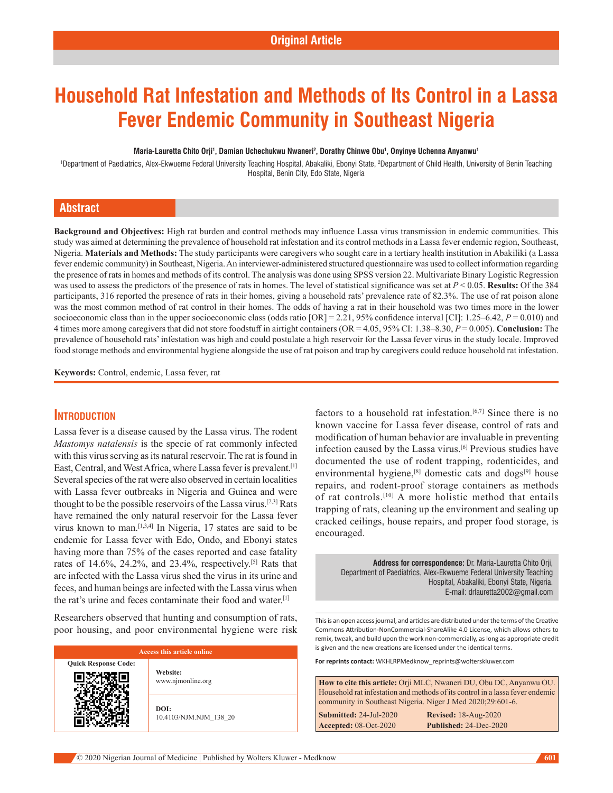# **Household Rat Infestation and Methods of Its Control in a Lassa Fever Endemic Community in Southeast Nigeria**

#### **Maria-Lauretta Chito Orji1 , Damian Uchechukwu Nwaneri2 , Dorathy Chinwe Obu1 , Onyinye Uchenna Anyanwu1**

1 Department of Paediatrics, Alex-Ekwueme Federal University Teaching Hospital, Abakaliki, Ebonyi State, 2 Department of Child Health, University of Benin Teaching Hospital, Benin City, Edo State, Nigeria

#### **Abstract**

**Background and Objectives:** High rat burden and control methods may influence Lassa virus transmission in endemic communities. This study was aimed at determining the prevalence of household rat infestation and its control methods in a Lassa fever endemic region, Southeast, Nigeria. **Materials and Methods:** The study participants were caregivers who sought care in a tertiary health institution in Abakiliki (a Lassa fever endemic community) in Southeast, Nigeria. An interviewer‑administered structured questionnaire was used to collect information regarding the presence of rats in homes and methods of its control. The analysis was done using SPSS version 22. Multivariate Binary Logistic Regression was used to assess the predictors of the presence of rats in homes. The level of statistical significance was set at *P* < 0.05. **Results:** Of the 384 participants, 316 reported the presence of rats in their homes, giving a household rats' prevalence rate of 82.3%. The use of rat poison alone was the most common method of rat control in their homes. The odds of having a rat in their household was two times more in the lower socioeconomic class than in the upper socioeconomic class (odds ratio [OR] = 2.21, 95% confidence interval [CI]: 1.25–6.42, *P* = 0.010) and 4 times more among caregivers that did not store foodstuff in airtight containers (OR = 4.05, 95% CI: 1.38–8.30, *P* = 0.005). **Conclusion:** The prevalence of household rats' infestation was high and could postulate a high reservoir for the Lassa fever virus in the study locale. Improved food storage methods and environmental hygiene alongside the use of rat poison and trap by caregivers could reduce household rat infestation.

**Keywords:** Control, endemic, Lassa fever, rat

#### **Introduction**

Lassa fever is a disease caused by the Lassa virus. The rodent *Mastomys natalensis* is the specie of rat commonly infected with this virus serving as its natural reservoir. The rat is found in East, Central, and West Africa, where Lassa fever is prevalent.[1] Several species of the rat were also observed in certain localities with Lassa fever outbreaks in Nigeria and Guinea and were thought to be the possible reservoirs of the Lassa virus.<sup>[2,3]</sup> Rats have remained the only natural reservoir for the Lassa fever virus known to man.[1,3,4] In Nigeria, 17 states are said to be endemic for Lassa fever with Edo, Ondo, and Ebonyi states having more than 75% of the cases reported and case fatality rates of  $14.6\%$ ,  $24.2\%$ , and  $23.4\%$ , respectively.<sup>[5]</sup> Rats that are infected with the Lassa virus shed the virus in its urine and feces, and human beings are infected with the Lassa virus when the rat's urine and feces contaminate their food and water.[1]

Researchers observed that hunting and consumption of rats, poor housing, and poor environmental hygiene were risk

| <b>Access this article online</b> |                                |  |
|-----------------------------------|--------------------------------|--|
| <b>Quick Response Code:</b>       | Website:<br>www.njmonline.org  |  |
|                                   | DOI:<br>10.4103/NJM.NJM 138 20 |  |

factors to a household rat infestation.<sup>[6,7]</sup> Since there is no known vaccine for Lassa fever disease, control of rats and modification of human behavior are invaluable in preventing infection caused by the Lassa virus.[6] Previous studies have documented the use of rodent trapping, rodenticides, and environmental hygiene,<sup>[8]</sup> domestic cats and dogs<sup>[9]</sup> house repairs, and rodent‑proof storage containers as methods of rat controls.[10] A more holistic method that entails trapping of rats, cleaning up the environment and sealing up cracked ceilings, house repairs, and proper food storage, is encouraged.

> **Address for correspondence:** Dr. Maria-Lauretta Chito Orji, Department of Paediatrics, Alex-Ekwueme Federal University Teaching Hospital, Abakaliki, Ebonyi State, Nigeria. E-mail: drlauretta2002@gmail.com

This is an open access journal, and articles are distributed under the terms of the Creative Commons Attribution‑NonCommercial‑ShareAlike 4.0 License, which allows others to remix, tweak, and build upon the work non‑commercially, as long as appropriate credit is given and the new creations are licensed under the identical terms.

**For reprints contact:** WKHLRPMedknow\_reprints@wolterskluwer.com

**How to cite this article:** Orji MLC, Nwaneri DU, Obu DC, Anyanwu OU. Household rat infestation and methods of its control in a lassa fever endemic community in Southeast Nigeria. Niger J Med 2020;29:601-6.

**Submitted:** 24-Jul-2020 **Revised:** 18-Aug-2020 **Accepted:** 08-Oct-2020 **Published:** 24-Dec-2020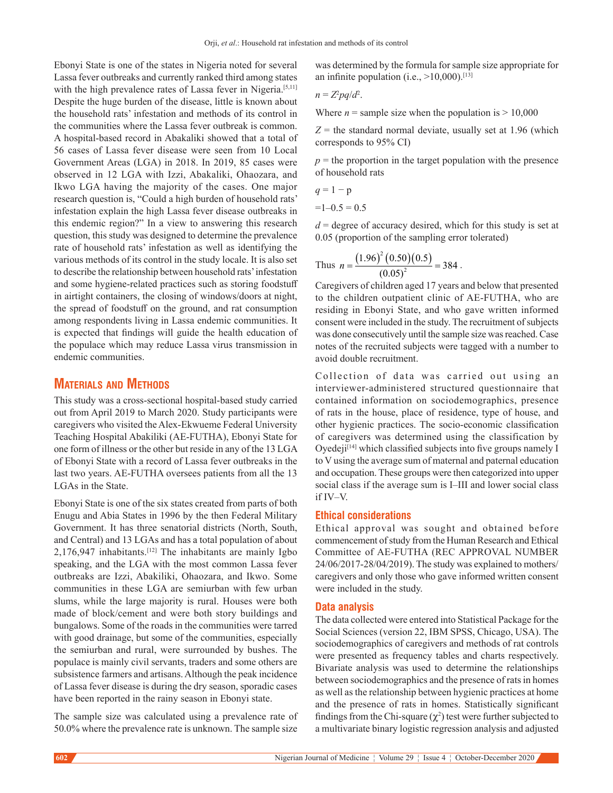Ebonyi State is one of the states in Nigeria noted for several Lassa fever outbreaks and currently ranked third among states with the high prevalence rates of Lassa fever in Nigeria.<sup>[5,11]</sup> Despite the huge burden of the disease, little is known about the household rats' infestation and methods of its control in the communities where the Lassa fever outbreak is common. A hospital‑based record in Abakaliki showed that a total of 56 cases of Lassa fever disease were seen from 10 Local Government Areas (LGA) in 2018. In 2019, 85 cases were observed in 12 LGA with Izzi, Abakaliki, Ohaozara, and Ikwo LGA having the majority of the cases. One major research question is, "Could a high burden of household rats' infestation explain the high Lassa fever disease outbreaks in this endemic region?" In a view to answering this research question, this study was designed to determine the prevalence rate of household rats' infestation as well as identifying the various methods of its control in the study locale. It is also set to describe the relationship between household rats' infestation and some hygiene‑related practices such as storing foodstuff in airtight containers, the closing of windows/doors at night, the spread of foodstuff on the ground, and rat consumption among respondents living in Lassa endemic communities. It is expected that findings will guide the health education of the populace which may reduce Lassa virus transmission in endemic communities.

#### **Materials and Methods**

This study was a cross-sectional hospital-based study carried out from April 2019 to March 2020. Study participants were caregivers who visited the Alex‑Ekwueme Federal University Teaching Hospital Abakiliki (AE‑FUTHA), Ebonyi State for one form of illness or the other but reside in any of the 13 LGA of Ebonyi State with a record of Lassa fever outbreaks in the last two years. AE-FUTHA oversees patients from all the 13 LGAs in the State.

Ebonyi State is one of the six states created from parts of both Enugu and Abia States in 1996 by the then Federal Military Government. It has three senatorial districts (North, South, and Central) and 13 LGAs and has a total population of about  $2,176,947$  inhabitants.<sup>[12]</sup> The inhabitants are mainly Igbo speaking, and the LGA with the most common Lassa fever outbreaks are Izzi, Abakiliki, Ohaozara, and Ikwo. Some communities in these LGA are semiurban with few urban slums, while the large majority is rural. Houses were both made of block/cement and were both story buildings and bungalows. Some of the roads in the communities were tarred with good drainage, but some of the communities, especially the semiurban and rural, were surrounded by bushes. The populace is mainly civil servants, traders and some others are subsistence farmers and artisans. Although the peak incidence of Lassa fever disease is during the dry season, sporadic cases have been reported in the rainy season in Ebonyi state.

The sample size was calculated using a prevalence rate of 50.0% where the prevalence rate is unknown. The sample size

was determined by the formula for sample size appropriate for an infinite population (i.e.,  $>10,000$ ).<sup>[13]</sup>

$$
n = Z^2 pq/d^2.
$$

Where  $n =$  sample size when the population is  $> 10,000$ 

 $Z =$  the standard normal deviate, usually set at 1.96 (which corresponds to 95% CI)

 $p =$  the proportion in the target population with the presence of household rats

$$
q=1-p
$$

 $=1-0.5 = 0.5$ 

 $d =$  degree of accuracy desired, which for this study is set at 0.05 (proportion of the sampling error tolerated)

Thus 
$$
n = \frac{(1.96)^2 (0.50)(0.5)}{(0.05)^2} = 384
$$
.

Caregivers of children aged 17 years and below that presented to the children outpatient clinic of AE‑FUTHA, who are residing in Ebonyi State, and who gave written informed consent were included in the study. The recruitment of subjects was done consecutively until the sample size was reached. Case notes of the recruited subjects were tagged with a number to avoid double recruitment.

Collection of data was carried out using an interviewer-administered structured questionnaire that contained information on sociodemographics, presence of rats in the house, place of residence, type of house, and other hygienic practices. The socio-economic classification of caregivers was determined using the classification by Oyedej $i^{[14]}$  which classified subjects into five groups namely I to V using the average sum of maternal and paternal education and occupation. These groups were then categorized into upper social class if the average sum is I–III and lower social class if IV–V.

#### **Ethical considerations**

Ethical approval was sought and obtained before commencement of study from the Human Research and Ethical Committee of AE‑FUTHA (REC APPROVAL NUMBER 24/06/2017‑28/04/2019). The study was explained to mothers/ caregivers and only those who gave informed written consent were included in the study.

#### **Data analysis**

The data collected were entered into Statistical Package for the Social Sciences (version 22, IBM SPSS, Chicago, USA). The sociodemographics of caregivers and methods of rat controls were presented as frequency tables and charts respectively. Bivariate analysis was used to determine the relationships between sociodemographics and the presence of rats in homes as well as the relationship between hygienic practices at home and the presence of rats in homes. Statistically significant findings from the Chi-square  $(\chi^2)$  test were further subjected to a multivariate binary logistic regression analysis and adjusted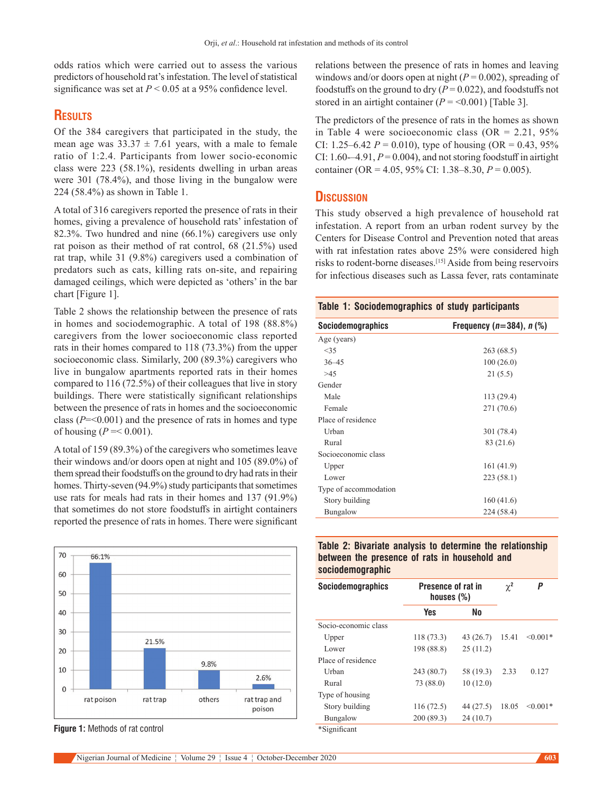odds ratios which were carried out to assess the various predictors of household rat's infestation. The level of statistical significance was set at  $P < 0.05$  at a 95% confidence level.

### **Results**

Of the 384 caregivers that participated in the study, the mean age was  $33.37 \pm 7.61$  years, with a male to female ratio of 1:2.4. Participants from lower socio-economic class were 223 (58.1%), residents dwelling in urban areas were 301 (78.4%), and those living in the bungalow were 224 (58.4%) as shown in Table 1.

A total of 316 caregivers reported the presence of rats in their homes, giving a prevalence of household rats' infestation of 82.3%. Two hundred and nine (66.1%) caregivers use only rat poison as their method of rat control, 68 (21.5%) used rat trap, while 31 (9.8%) caregivers used a combination of predators such as cats, killing rats on‑site, and repairing damaged ceilings, which were depicted as 'others' in the bar chart [Figure 1].

Table 2 shows the relationship between the presence of rats in homes and sociodemographic. A total of 198 (88.8%) caregivers from the lower socioeconomic class reported rats in their homes compared to 118 (73.3%) from the upper socioeconomic class. Similarly, 200 (89.3%) caregivers who live in bungalow apartments reported rats in their homes compared to 116 (72.5%) of their colleagues that live in story buildings. There were statistically significant relationships between the presence of rats in homes and the socioeconomic class (*P*=<0.001) and the presence of rats in homes and type of housing ( $P = 0.001$ ).

A total of 159 (89.3%) of the caregivers who sometimes leave their windows and/or doors open at night and 105 (89.0%) of them spread their foodstuffs on the ground to dry had rats in their homes. Thirty-seven (94.9%) study participants that sometimes use rats for meals had rats in their homes and 137 (91.9%) that sometimes do not store foodstuffs in airtight containers reported the presence of rats in homes. There were significant



**Figure 1:** Methods of rat control

relations between the presence of rats in homes and leaving windows and/or doors open at night  $(P = 0.002)$ , spreading of foodstuffs on the ground to dry  $(P = 0.022)$ , and foodstuffs not stored in an airtight container  $(P = 0.001)$  [Table 3].

The predictors of the presence of rats in the homes as shown in Table 4 were socioeconomic class (OR =  $2.21, 95\%$ CI: 1.25–6.42  $P = 0.010$ ), type of housing (OR = 0.43, 95%) CI:  $1.60-4.91, P=0.004$ , and not storing foodstuff in airtight container (OR = 4.05, 95% CI: 1.38–8.30, *P* = 0.005).

#### **Discussion**

This study observed a high prevalence of household rat infestation. A report from an urban rodent survey by the Centers for Disease Control and Prevention noted that areas with rat infestation rates above 25% were considered high risks to rodent-borne diseases.<sup>[15]</sup> Aside from being reservoirs for infectious diseases such as Lassa fever, rats contaminate

| Table 1: Sociodemographics of study participants |                                |  |  |
|--------------------------------------------------|--------------------------------|--|--|
| <b>Sociodemographics</b>                         | Frequency $(n=384)$ , n $(\%)$ |  |  |
| Age (years)                                      |                                |  |  |
| <35                                              | 263 (68.5)                     |  |  |
| $36 - 45$                                        | 100(26.0)                      |  |  |
| >45                                              | 21(5.5)                        |  |  |
| Gender                                           |                                |  |  |
| Male                                             | 113 (29.4)                     |  |  |
| Female                                           | 271 (70.6)                     |  |  |
| Place of residence                               |                                |  |  |
| Urban                                            | 301 (78.4)                     |  |  |
| Rural                                            | 83 (21.6)                      |  |  |
| Socioeconomic class                              |                                |  |  |
| Upper                                            | 161 (41.9)                     |  |  |
| Lower                                            | 223 (58.1)                     |  |  |
| Type of accommodation                            |                                |  |  |
| Story building                                   | 160(41.6)                      |  |  |
| Bungalow                                         | 224 (58.4)                     |  |  |

#### **Table 2: Bivariate analysis to determine the relationship between the presence of rats in household and sociodemographic**

| <b>Sociodemographics</b> | Presence of rat in<br>houses $(\%)$ |           | $\chi^2$ | Ρ          |
|--------------------------|-------------------------------------|-----------|----------|------------|
|                          | Yes                                 | No        |          |            |
| Socio-economic class     |                                     |           |          |            |
| Upper                    | 118(73.3)                           | 43 (26.7) | 15.41    | $< 0.001*$ |
| Lower                    | 198 (88.8)                          | 25(11.2)  |          |            |
| Place of residence       |                                     |           |          |            |
| <b>Urban</b>             | 243 (80.7)                          | 58 (19.3) | 2.33     | 0.127      |
| Rural                    | 73 (88.0)                           | 10(12.0)  |          |            |
| Type of housing          |                                     |           |          |            |
| Story building           | 116(72.5)                           | 44 (27.5) | 18.05    | $< 0.001*$ |
| Bungalow                 | 200 (89.3)                          | 24(10.7)  |          |            |
| *Significant             |                                     |           |          |            |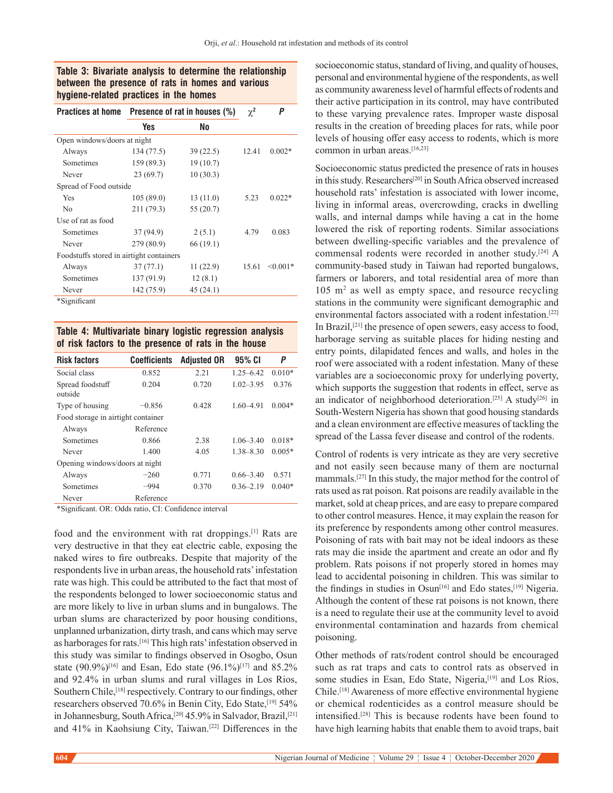#### **Table 3: Bivariate analysis to determine the relationship between the presence of rats in homes and various hygiene-related practices in the homes**

| <b>Practices at home</b>                 | Presence of rat in houses (%) |           | $\chi^2$ | Ρ          |
|------------------------------------------|-------------------------------|-----------|----------|------------|
|                                          | Yes                           | <b>No</b> |          |            |
| Open windows/doors at night              |                               |           |          |            |
| Always                                   | 134 (77.5)                    | 39(22.5)  | 12.41    | $0.002*$   |
| Sometimes                                | 159 (89.3)                    | 19(10.7)  |          |            |
| Never                                    | 23(69.7)                      | 10(30.3)  |          |            |
| Spread of Food outside                   |                               |           |          |            |
| Yes                                      | 105(89.0)                     | 13(11.0)  | 5.23     | $0.022*$   |
| N <sub>0</sub>                           | 211 (79.3)                    | 55 (20.7) |          |            |
| Use of rat as food                       |                               |           |          |            |
| Sometimes                                | 37 (94.9)                     | 2(5.1)    | 4.79     | 0.083      |
| Never                                    | 279 (80.9)                    | 66 (19.1) |          |            |
| Foodstuffs stored in airtight containers |                               |           |          |            |
| Always                                   | 37(77.1)                      | 11(22.9)  | 15.61    | $< 0.001*$ |
| Sometimes                                | 137 (91.9)                    | 12(8.1)   |          |            |
| Never                                    | 142 (75.9)                    | 45(24.1)  |          |            |
|                                          |                               |           |          |            |

\*Significant

#### **Table 4: Multivariate binary logistic regression analysis of risk factors to the presence of rats in the house**

| <b>Risk factors</b>                | Coefficients | <b>Adjusted OR</b> | 95% CI        | Ρ        |  |
|------------------------------------|--------------|--------------------|---------------|----------|--|
| Social class                       | 0.852        | 2.21               | $1.25 - 6.42$ | $0.010*$ |  |
| Spread foodstuff<br>outside        | 0.204        | 0.720              | $1.02 - 3.95$ | 0.376    |  |
| Type of housing                    | $-0.856$     | 0.428              | $1.60 - 4.91$ | $0.004*$ |  |
| Food storage in airtight container |              |                    |               |          |  |
| Always                             | Reference    |                    |               |          |  |
| Sometimes                          | 0.866        | 2.38               | $1.06 - 3.40$ | $0.018*$ |  |
| Never                              | 1.400        | 4.05               | $1.38 - 8.30$ | $0.005*$ |  |
| Opening windows/doors at night     |              |                    |               |          |  |
| Always                             | $-260$       | 0.771              | $0.66 - 3.40$ | 0.571    |  |
| Sometimes                          | $-994$       | 0.370              | $0.36 - 2.19$ | $0.040*$ |  |
| Never                              | Reference    |                    |               |          |  |

\*Significant. OR: Odds ratio, CI: Confidence interval

food and the environment with rat droppings.<sup>[1]</sup> Rats are very destructive in that they eat electric cable, exposing the naked wires to fire outbreaks. Despite that majority of the respondents live in urban areas, the household rats' infestation rate was high. This could be attributed to the fact that most of the respondents belonged to lower socioeconomic status and are more likely to live in urban slums and in bungalows. The urban slums are characterized by poor housing conditions, unplanned urbanization, dirty trash, and cans which may serve as harborages for rats.[16] This high rats' infestation observed in this study was similar to findings observed in Osogbo, Osun state  $(90.9\%)$ <sup>[16]</sup> and Esan, Edo state  $(96.1\%)$ <sup>[17]</sup> and 85.2% and 92.4% in urban slums and rural villages in Los Rios, Southern Chile,<sup>[18]</sup> respectively. Contrary to our findings, other researchers observed 70.6% in Benin City, Edo State,<sup>[19]</sup> 54% in Johannesburg, South Africa,<sup>[20]</sup> 45.9% in Salvador, Brazil,<sup>[21]</sup> and 41% in Kaohsiung City, Taiwan.[22] Differences in the

socioeconomic status, standard of living, and quality of houses, personal and environmental hygiene of the respondents, as well as community awareness level of harmful effects of rodents and their active participation in its control, may have contributed to these varying prevalence rates. Improper waste disposal results in the creation of breeding places for rats, while poor levels of housing offer easy access to rodents, which is more common in urban areas.[16,23]

Socioeconomic status predicted the presence of rats in houses in this study. Researchers[20] in South Africa observed increased household rats' infestation is associated with lower income, living in informal areas, overcrowding, cracks in dwelling walls, and internal damps while having a cat in the home lowered the risk of reporting rodents. Similar associations between dwelling‑specific variables and the prevalence of commensal rodents were recorded in another study.[24] A community-based study in Taiwan had reported bungalows, farmers or laborers, and total residential area of more than 105 m2 as well as empty space, and resource recycling stations in the community were significant demographic and environmental factors associated with a rodent infestation.[22] In Brazil,[21] the presence of open sewers, easy access to food, harborage serving as suitable places for hiding nesting and entry points, dilapidated fences and walls, and holes in the roof were associated with a rodent infestation. Many of these variables are a socioeconomic proxy for underlying poverty, which supports the suggestion that rodents in effect, serve as an indicator of neighborhood deterioration.<sup>[25]</sup> A study<sup>[26]</sup> in South-Western Nigeria has shown that good housing standards and a clean environment are effective measures of tackling the spread of the Lassa fever disease and control of the rodents.

Control of rodents is very intricate as they are very secretive and not easily seen because many of them are nocturnal mammals.[27] In this study, the major method for the control of rats used as rat poison. Rat poisons are readily available in the market, sold at cheap prices, and are easy to prepare compared to other control measures. Hence, it may explain the reason for its preference by respondents among other control measures. Poisoning of rats with bait may not be ideal indoors as these rats may die inside the apartment and create an odor and fly problem. Rats poisons if not properly stored in homes may lead to accidental poisoning in children. This was similar to the findings in studies in Osun<sup>[16]</sup> and Edo states,<sup>[19]</sup> Nigeria. Although the content of these rat poisons is not known, there is a need to regulate their use at the community level to avoid environmental contamination and hazards from chemical poisoning.

Other methods of rats/rodent control should be encouraged such as rat traps and cats to control rats as observed in some studies in Esan, Edo State, Nigeria,<sup>[19]</sup> and Los Rios, Chile.[18] Awareness of more effective environmental hygiene or chemical rodenticides as a control measure should be intensified.[28] This is because rodents have been found to have high learning habits that enable them to avoid traps, bait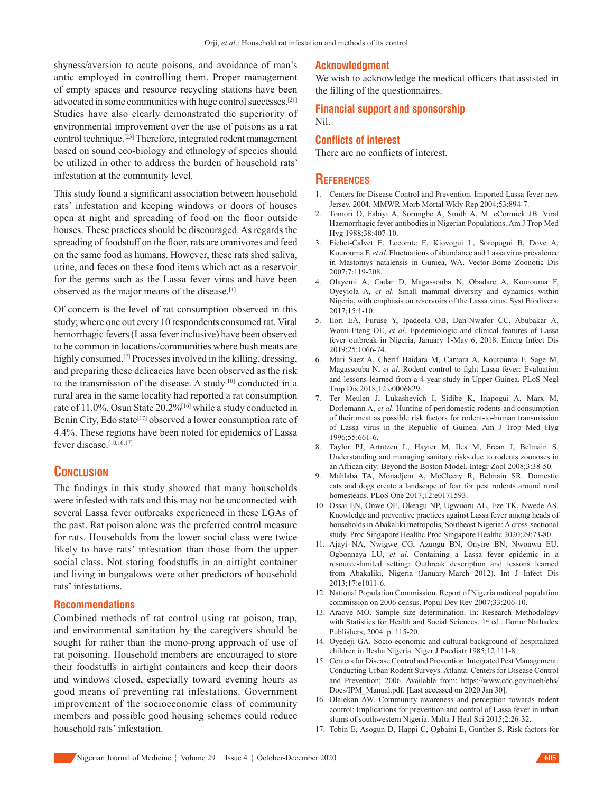shyness/aversion to acute poisons, and avoidance of man's antic employed in controlling them. Proper management of empty spaces and resource recycling stations have been advocated in some communities with huge control successes.[21] Studies have also clearly demonstrated the superiority of environmental improvement over the use of poisons as a rat control technique.[23] Therefore, integrated rodent management based on sound eco‑biology and ethnology of species should be utilized in other to address the burden of household rats' infestation at the community level.

This study found a significant association between household rats' infestation and keeping windows or doors of houses open at night and spreading of food on the floor outside houses. These practices should be discouraged. As regards the spreading of foodstuff on the floor, rats are omnivores and feed on the same food as humans. However, these rats shed saliva, urine, and feces on these food items which act as a reservoir for the germs such as the Lassa fever virus and have been observed as the major means of the disease.[1]

Of concern is the level of rat consumption observed in this study; where one out every 10 respondents consumed rat. Viral hemorrhagic fevers(Lassa fever inclusive) have been observed to be common in locations/communities where bush meats are highly consumed.<sup>[7]</sup> Processes involved in the killing, dressing, and preparing these delicacies have been observed as the risk to the transmission of the disease. A study<sup>[10]</sup> conducted in a rural area in the same locality had reported a rat consumption rate of 11.0%, Osun State 20.2%[16] while a study conducted in Benin City, Edo state<sup>[17]</sup> observed a lower consumption rate of 4.4%. These regions have been noted for epidemics of Lassa fever disease.[10,16,17]

#### **Conclusion**

The findings in this study showed that many households were infested with rats and this may not be unconnected with several Lassa fever outbreaks experienced in these LGAs of the past. Rat poison alone was the preferred control measure for rats. Households from the lower social class were twice likely to have rats' infestation than those from the upper social class. Not storing foodstuffs in an airtight container and living in bungalows were other predictors of household rats' infestations.

#### **Recommendations**

Combined methods of rat control using rat poison, trap, and environmental sanitation by the caregivers should be sought for rather than the mono-prong approach of use of rat poisoning. Household members are encouraged to store their foodstuffs in airtight containers and keep their doors and windows closed, especially toward evening hours as good means of preventing rat infestations. Government improvement of the socioeconomic class of community members and possible good housing schemes could reduce household rats' infestation.

#### **Acknowledgment**

We wish to acknowledge the medical officers that assisted in the filling of the questionnaires.

## **Financial support and sponsorship**

Nil.

#### **Conflicts of interest**

There are no conflicts of interest.

#### **References**

- 1. Centers for Disease Control and Prevention. Imported Lassa fever-new Jersey, 2004. MMWR Morb Mortal Wkly Rep 2004;53:894‑7.
- 2. Tomori O, Fabiyi A, Sorungbe A, Smith A, M. cCormick JB. Viral Haemorrhagic fever antibodies in Nigerian Populations. Am J Trop Med Hyg 1988;38:407‑10.
- 3. Fichet-Calvet E, Lecomte E, Kiovogui L, Soropogui B, Dove A, Kourouma F, *et al*. Fluctuations of abundance and Lassa virus prevalence in Mastomys natalensis in Guniea, WA. Vector‑Borne Zoonotic Dis 2007;7:119‑208.
- 4. Olayemi A, Cadar D, Magassouba N, Obadare A, Kourouma F, Oyeyiola A, *et al*. Small mammal diversity and dynamics within Nigeria, with emphasis on reservoirs of the Lassa virus. Syst Biodivers. 2017;15:1‑10.
- 5. Ilori EA, Furuse Y, Ipadeola OB, Dan‑Nwafor CC, Abubakar A, Womi‑Eteng OE, *et al*. Epidemiologic and clinical features of Lassa fever outbreak in Nigeria, January 1‑May 6, 2018. Emerg Infect Dis 2019;25:1066‑74.
- 6. Mari Saez A, Cherif Haidara M, Camara A, Kourouma F, Sage M, Magassouba N, *et al*. Rodent control to fight Lassa fever: Evaluation and lessons learned from a 4‑year study in Upper Guinea. PLoS Negl Trop Dis 2018;12:e0006829.
- 7. Ter Meulen J, Lukashevich I, Sidibe K, Inapogui A, Marx M, Dorlemann A, *et al*. Hunting of peridomestic rodents and consumption of their meat as possible risk factors for rodent-to-human transmission of Lassa virus in the Republic of Guinea. Am J Trop Med Hyg 1996;55:661‑6.
- 8. Taylor PJ, Artntzen L, Hayter M, Iles M, Frean J, Belmain S. Understanding and managing sanitary risks due to rodents zoonoses in an African city: Beyond the Boston Model. Integr Zool 2008;3:38‑50.
- 9. Mahlaba TA, Monadjem A, McCleery R, Belmain SR. Domestic cats and dogs create a landscape of fear for pest rodents around rural homesteads. PLoS One 2017;12:e0171593.
- 10. Ossai EN, Onwe OE, Okeagu NP, Ugwuoru AL, Eze TK, Nwede AS. Knowledge and preventive practices against Lassa fever among heads of households in Abakaliki metropolis, Southeast Nigeria: A cross‑sectional study. Proc Singapore Healthc Proc Singapore Healthc 2020;29:73-80.
- 11. Ajayi NA, Nwigwe CG, Azuogu BN, Onyire BN, Nwonwu EU, Ogbonnaya LU, *et al*. Containing a Lassa fever epidemic in a resource‑limited setting: Outbreak description and lessons learned from Abakaliki, Nigeria (January‑March 2012). Int J Infect Dis 2013;17:e1011‑6.
- 12. National Population Commission. Report of Nigeria national population commission on 2006 census. Popul Dev Rev 2007;33:206-10.
- 13. Araoye MO. Sample size determination. In: Research Methodology with Statistics for Health and Social Sciences. 1st ed.. Ilorin: Nathadex Publishers; 2004. p. 115‑20.
- 14. Oyedeji GA. Socio‑economic and cultural background of hospitalized children in Ilesha Nigeria. Niger J Paediatr 1985;12:111‑8.
- 15. Centers for Disease Control and Prevention. Integrated Pest Management: Conducting Urban Rodent Surveys. Atlanta: Centers for Disease Control and Prevention; 2006. Available from: https://www.cdc.gov/nceh/ehs/ Docs/IPM\_Manual.pdf. [Last accessed on 2020 Jan 30].
- 16. Olalekan AW. Community awareness and perception towards rodent control: Implications for prevention and control of Lassa fever in urban slums of southwestern Nigeria. Malta J Heal Sci 2015;2:26‑32.
- 17. Tobin E, Asogun D, Happi C, Ogbaini E, Gunther S. Risk factors for